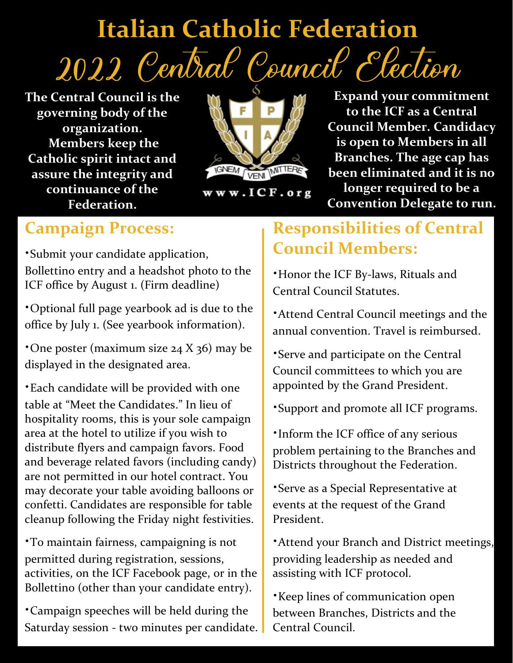# **Italian Catholic Federation** 2022 Central Council Election

**The Central Council is the governing body of the organization. Members keep the Catholic spirit intact and assure the integrity and continuance of the Federation.**



www.ICF.org

**Expand your commitment to the ICF as a Central Council Member. Candidacy is open to Members in all Branches. The age cap has been eliminated and it is no longer required to be a Convention Delegate to run.**

#### **Campaign Process:**

∙Submit your candidate application, Bollettino entry and a headshot photo to the ICF office by August 1. (Firm deadline)

∙Optional full page yearbook ad is due to the office by July 1. (See yearbook information).

∙One poster (maximum size 24 X 36) may be displayed in the designated area.

∙Each candidate will be provided with one table at "Meet the Candidates." In lieu of hospitality rooms, this is your sole campaign area at the hotel to utilize if you wish to distribute flyers and campaign favors. Food and beverage related favors (including candy) are not permitted in our hotel contract. You may decorate your table avoiding balloons or confetti. Candidates are responsible for table cleanup following the Friday night festivities.

∙To maintain fairness, campaigning is not permitted during registration, sessions, activities, on the ICF Facebook page, or in the Bollettino (other than your candidate entry).

∙Campaign speeches will be held during the Saturday session - two minutes per candidate.

### **Responsibilities of Central Council Members:**

∙Honor the ICF By-laws, Rituals and Central Council Statutes.

∙Attend Central Council meetings and the annual convention. Travel is reimbursed.

∙Serve and participate on the Central Council committees to which you are appointed by the Grand President.

∙Support and promote all ICF programs.

∙Inform the ICF office of any serious problem pertaining to the Branches and Districts throughout the Federation.

∙Serve as a Special Representative at events at the request of the Grand President.

∙Attend your Branch and District meetings, providing leadership as needed and assisting with ICF protocol.

o (other than your candidate entry).<br>
• Keep lines of communication open<br>
→ Keep lines of communication open<br>
between Branches Districts and the between Branches, Districts and the Central Council.